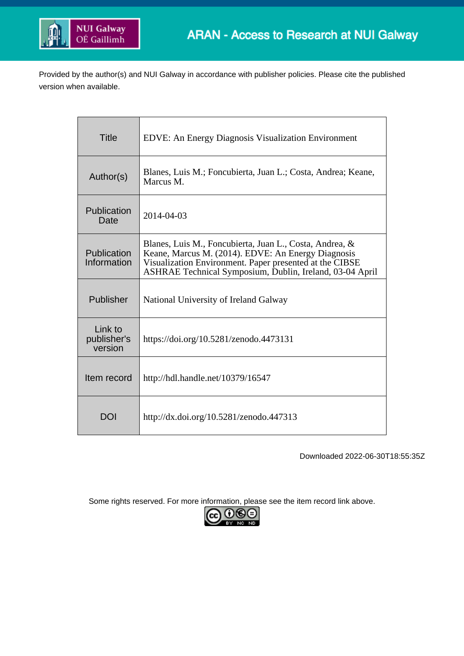

Provided by the author(s) and NUI Galway in accordance with publisher policies. Please cite the published version when available.

| Title                             | <b>EDVE:</b> An Energy Diagnosis Visualization Environment                                                                                                                                                                           |
|-----------------------------------|--------------------------------------------------------------------------------------------------------------------------------------------------------------------------------------------------------------------------------------|
| Author(s)                         | Blanes, Luis M.; Foncubierta, Juan L.; Costa, Andrea; Keane,<br>Marcus M.                                                                                                                                                            |
| Publication<br>Date               | 2014-04-03                                                                                                                                                                                                                           |
| Publication<br>Information        | Blanes, Luis M., Foncubierta, Juan L., Costa, Andrea, &<br>Keane, Marcus M. (2014). EDVE: An Energy Diagnosis<br>Visualization Environment. Paper presented at the CIBSE<br>ASHRAE Technical Symposium, Dublin, Ireland, 03-04 April |
| Publisher                         | National University of Ireland Galway                                                                                                                                                                                                |
| Link to<br>publisher's<br>version | https://doi.org/10.5281/zenodo.4473131                                                                                                                                                                                               |
| Item record                       | http://hdl.handle.net/10379/16547                                                                                                                                                                                                    |
| DOI                               | http://dx.doi.org/10.5281/zenodo.447313                                                                                                                                                                                              |

Downloaded 2022-06-30T18:55:35Z

Some rights reserved. For more information, please see the item record link above.

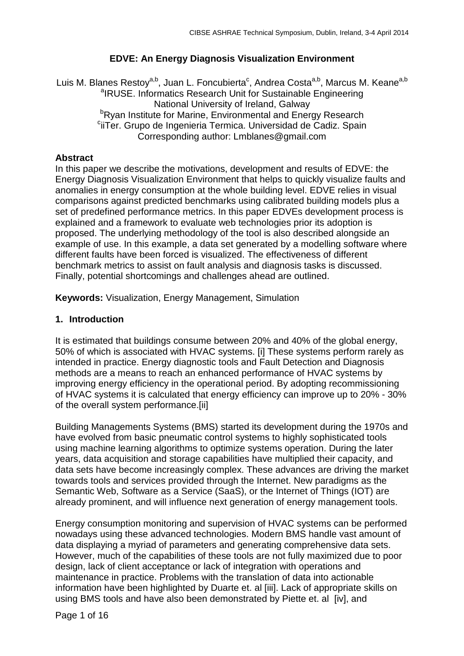### **EDVE: An Energy Diagnosis Visualization Environment**

Luis M. Blanes Restoy<sup>a,b</sup>, Juan L. Foncubierta<sup>c</sup>, Andrea Costa<sup>a,b</sup>, Marcus M. Keane<sup>a,b</sup> <sup>a</sup>IRUSE. Informatics Research Unit for Sustainable Engineering National University of Ireland, Galway<br><sup>b</sup>Rvan Institute for Marine, Environmental and Ener Ryan Institute for Marine, Environmental and Energy Research "<br>وتناقض Crupo de Ingenieria Termica Universidad de Cadiz, Spair <sup>c</sup>iiTer. Grupo de Ingenieria Termica. Universidad de Cadiz. Spain Corresponding author: Lmblanes@gmail.com

### **Abstract**

In this paper we describe the motivations, development and results of EDVE: the Energy Diagnosis Visualization Environment that helps to quickly visualize faults and anomalies in energy consumption at the whole building level. EDVE relies in visual comparisons against predicted benchmarks using calibrated building models plus a set of predefined performance metrics. In this paper EDVEs development process is explained and a framework to evaluate web technologies prior its adoption is proposed. The underlying methodology of the tool is also described alongside an example of use. In this example, a data set generated by a modelling software where different faults have been forced is visualized. The effectiveness of different benchmark metrics to assist on fault analysis and diagnosis tasks is discussed. Finally, potential shortcomings and challenges ahead are outlined.

**Keywords:** Visualization, Energy Management, Simulation

### **1. Introduction**

It is estimated that buildings consume between 20% and 40% of the global energy, 50% of which is associated with HVAC systems. [i] These systems perform rarely as intended in practice. Energy diagnostic tools and Fault Detection and Diagnosis methods are a means to reach an enhanced performance of HVAC systems by improving energy efficiency in the operational period. By adopting recommissioning of HVAC systems it is calculated that energy efficiency can improve up to 20% - 30% of the overall system performance.[ii]

Building Managements Systems (BMS) started its development during the 1970s and have evolved from basic pneumatic control systems to highly sophisticated tools using machine learning algorithms to optimize systems operation. During the later years, data acquisition and storage capabilities have multiplied their capacity, and data sets have become increasingly complex. These advances are driving the market towards tools and services provided through the Internet. New paradigms as the Semantic Web, Software as a Service (SaaS), or the Internet of Things (IOT) are already prominent, and will influence next generation of energy management tools.

Energy consumption monitoring and supervision of HVAC systems can be performed nowadays using these advanced technologies. Modern BMS handle vast amount of data displaying a myriad of parameters and generating comprehensive data sets. However, much of the capabilities of these tools are not fully maximized due to poor design, lack of client acceptance or lack of integration with operations and maintenance in practice. Problems with the translation of data into actionable information have been highlighted by Duarte et. al [iii]. Lack of appropriate skills on using BMS tools and have also been demonstrated by Piette et. al [iv], and

Page 1 of 16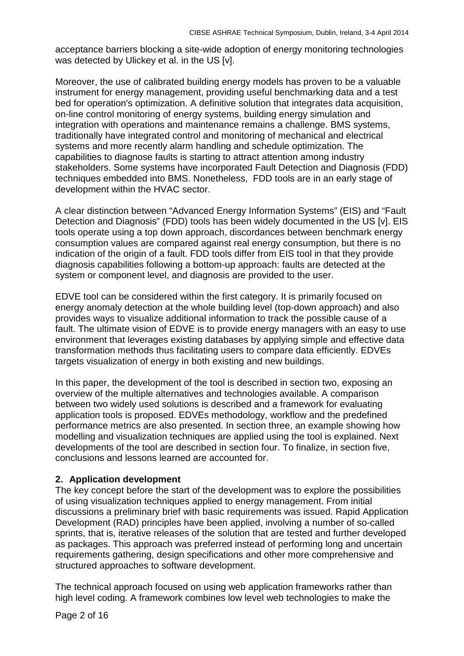acceptance barriers blocking a site-wide adoption of energy monitoring technologies was detected by Ulickey et al. in the US [v].

Moreover, the use of calibrated building energy models has proven to be a valuable instrument for energy management, providing useful benchmarking data and a test bed for operation's optimization. A definitive solution that integrates data acquisition, on-line control monitoring of energy systems, building energy simulation and integration with operations and maintenance remains a challenge. BMS systems, traditionally have integrated control and monitoring of mechanical and electrical systems and more recently alarm handling and schedule optimization. The capabilities to diagnose faults is starting to attract attention among industry stakeholders. Some systems have incorporated Fault Detection and Diagnosis (FDD) techniques embedded into BMS. Nonetheless, FDD tools are in an early stage of development within the HVAC sector.

A clear distinction between "Advanced Energy Information Systems" (EIS) and "Fault Detection and Diagnosis" (FDD) tools has been widely documented in the US [v]. EIS tools operate using a top down approach, discordances between benchmark energy consumption values are compared against real energy consumption, but there is no indication of the origin of a fault. FDD tools differ from EIS tool in that they provide diagnosis capabilities following a bottom-up approach: faults are detected at the system or component level, and diagnosis are provided to the user.

EDVE tool can be considered within the first category. It is primarily focused on energy anomaly detection at the whole building level (top-down approach) and also provides ways to visualize additional information to track the possible cause of a fault. The ultimate vision of EDVE is to provide energy managers with an easy to use environment that leverages existing databases by applying simple and effective data transformation methods thus facilitating users to compare data efficiently. EDVEs targets visualization of energy in both existing and new buildings.

In this paper, the development of the tool is described in section two, exposing an overview of the multiple alternatives and technologies available. A comparison between two widely used solutions is described and a framework for evaluating application tools is proposed. EDVEs methodology, workflow and the predefined performance metrics are also presented. In section three, an example showing how modelling and visualization techniques are applied using the tool is explained. Next developments of the tool are described in section four. To finalize, in section five, conclusions and lessons learned are accounted for.

### **2. Application development**

The key concept before the start of the development was to explore the possibilities of using visualization techniques applied to energy management. From initial discussions a preliminary brief with basic requirements was issued. Rapid Application Development (RAD) principles have been applied, involving a number of so-called sprints, that is, iterative releases of the solution that are tested and further developed as packages. This approach was preferred instead of performing long and uncertain requirements gathering, design specifications and other more comprehensive and structured approaches to software development.

The technical approach focused on using web application frameworks rather than high level coding. A framework combines low level web technologies to make the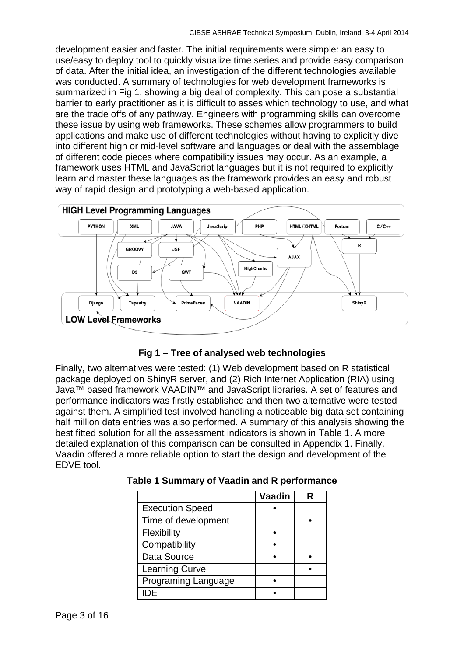development easier and faster. The initial requirements were simple: an easy to use/easy to deploy tool to quickly visualize time series and provide easy comparison of data. After the initial idea, an investigation of the different technologies available was conducted. A summary of technologies for web development frameworks is summarized in [Fig 1.](#page-3-0) showing a big deal of complexity. This can pose a substantial barrier to early practitioner as it is difficult to asses which technology to use, and what are the trade offs of any pathway. Engineers with programming skills can overcome these issue by using web frameworks. These schemes allow programmers to build applications and make use of different technologies without having to explicitly dive into different high or mid-level software and languages or deal with the assemblage of different code pieces where compatibility issues may occur. As an example, a framework uses HTML and JavaScript languages but it is not required to explicitly learn and master these languages as the framework provides an easy and robust way of rapid design and prototyping a web-based application.



### **Fig 1 – Tree of analysed web technologies**

<span id="page-3-0"></span>Finally, two alternatives were tested: (1) Web development based on R statistical package deployed on ShinyR server, and (2) Rich Internet Application (RIA) using Java™ based framework VAADIN™ and JavaScript libraries. A set of features and performance indicators was firstly established and then two alternative were tested against them. A simplified test involved handling a noticeable big data set containing half million data entries was also performed. A summary of this analysis showing the best fitted solution for all the assessment indicators is shown in [Table 1.](#page-3-1) A more detailed explanation of this comparison can be consulted in [Appendix 1.](#page-15-0) Finally, Vaadin offered a more reliable option to start the design and development of the EDVE tool.

|                            | Vaadin | R |
|----------------------------|--------|---|
| <b>Execution Speed</b>     |        |   |
| Time of development        |        |   |
| Flexibility                |        |   |
| Compatibility              |        |   |
| Data Source                |        |   |
| <b>Learning Curve</b>      |        |   |
| <b>Programing Language</b> |        |   |
|                            |        |   |

<span id="page-3-1"></span>**Table 1 Summary of Vaadin and R performance**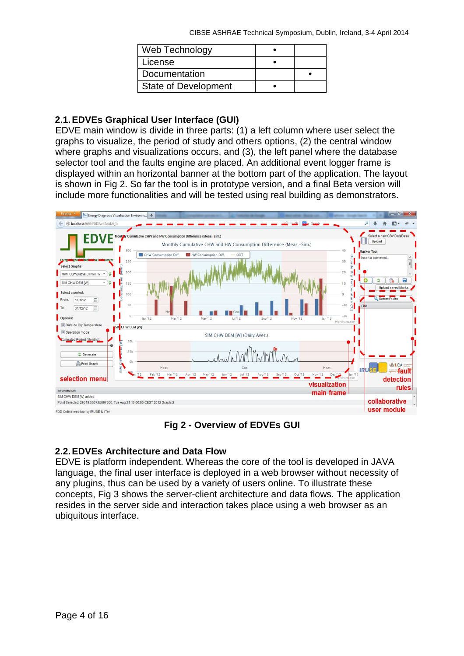| Web Technology              |  |
|-----------------------------|--|
| License                     |  |
| Documentation               |  |
| <b>State of Development</b> |  |

# **2.1.EDVEs Graphical User Interface (GUI)**

EDVE main window is divide in three parts: (1) a left column where user select the graphs to visualize, the period of study and others options, (2) the central window where graphs and visualizations occurs, and (3), the left panel where the database selector tool and the faults engine are placed. An additional event logger frame is displayed within an horizontal banner at the bottom part of the application. The layout is shown in [Fig 2.](#page-4-0) So far the tool is in prototype version, and a final Beta version will include more functionalities and will be tested using real building as demonstrators.



**Fig 2 - Overview of EDVEs GUI**

# <span id="page-4-0"></span>**2.2.EDVEs Architecture and Data Flow**

EDVE is platform independent. Whereas the core of the tool is developed in JAVA language, the final user interface is deployed in a web browser without necessity of any plugins, thus can be used by a variety of users online. To illustrate these concepts, [Fig 3](#page-5-0) shows the server-client architecture and data flows. The application resides in the server side and interaction takes place using a web browser as an ubiquitous interface.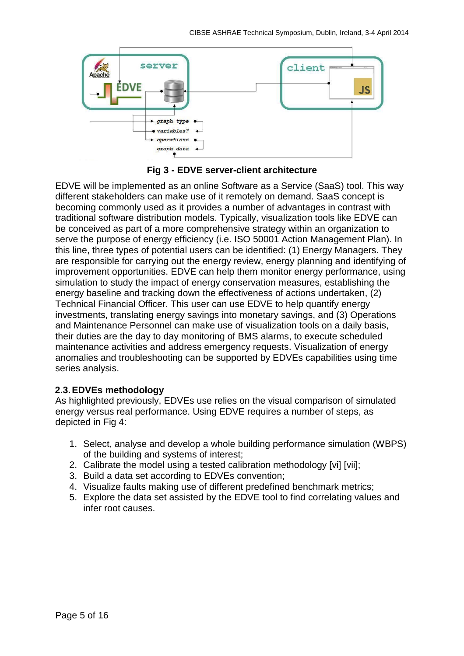

**Fig 3 - EDVE server-client architecture**

<span id="page-5-0"></span>EDVE will be implemented as an online Software as a Service (SaaS) tool. This way different stakeholders can make use of it remotely on demand. SaaS concept is becoming commonly used as it provides a number of advantages in contrast with traditional software distribution models. Typically, visualization tools like EDVE can be conceived as part of a more comprehensive strategy within an organization to serve the purpose of energy efficiency (i.e. ISO 50001 Action Management Plan). In this line, three types of potential users can be identified: (1) Energy Managers. They are responsible for carrying out the energy review, energy planning and identifying of improvement opportunities. EDVE can help them monitor energy performance, using simulation to study the impact of energy conservation measures, establishing the energy baseline and tracking down the effectiveness of actions undertaken, (2) Technical Financial Officer. This user can use EDVE to help quantify energy investments, translating energy savings into monetary savings, and (3) Operations and Maintenance Personnel can make use of visualization tools on a daily basis, their duties are the day to day monitoring of BMS alarms, to execute scheduled maintenance activities and address emergency requests. Visualization of energy anomalies and troubleshooting can be supported by EDVEs capabilities using time series analysis.

### **2.3.EDVEs methodology**

As highlighted previously, EDVEs use relies on the visual comparison of simulated energy versus real performance. Using EDVE requires a number of steps, as depicted in [Fig 4:](#page-6-0)

- 1. Select, analyse and develop a whole building performance simulation (WBPS) of the building and systems of interest;
- 2. Calibrate the model using a tested calibration methodology [vi] [vii];
- 3. Build a data set according to EDVEs convention;
- 4. Visualize faults making use of different predefined benchmark metrics;
- 5. Explore the data set assisted by the EDVE tool to find correlating values and infer root causes.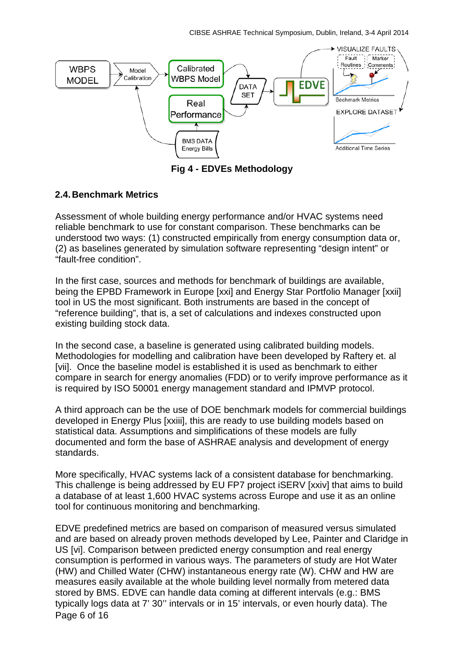CIBSE ASHRAE Technical Symposium, Dublin, Ireland, 3-4 April 2014



**Fig 4 - EDVEs Methodology**

### <span id="page-6-0"></span>**2.4.Benchmark Metrics**

Assessment of whole building energy performance and/or HVAC systems need reliable benchmark to use for constant comparison. These benchmarks can be understood two ways: (1) constructed empirically from energy consumption data or, (2) as baselines generated by simulation software representing "design intent" or "fault-free condition".

In the first case, sources and methods for benchmark of buildings are available, being the EPBD Framework in Europe [xxi] and Energy Star Portfolio Manager [xxii] tool in US the most significant. Both instruments are based in the concept of "reference building", that is, a set of calculations and indexes constructed upon existing building stock data.

In the second case, a baseline is generated using calibrated building models. Methodologies for modelling and calibration have been developed by Raftery et. al [vii]. Once the baseline model is established it is used as benchmark to either compare in search for energy anomalies (FDD) or to verify improve performance as it is required by ISO 50001 energy management standard and IPMVP protocol.

A third approach can be the use of DOE benchmark models for commercial buildings developed in Energy Plus [xxiii], this are ready to use building models based on statistical data. Assumptions and simplifications of these models are fully documented and form the base of ASHRAE analysis and development of energy standards.

More specifically, HVAC systems lack of a consistent database for benchmarking. This challenge is being addressed by EU FP7 project iSERV [xxiv] that aims to build a database of at least 1,600 HVAC systems across Europe and use it as an online tool for continuous monitoring and benchmarking.

Page 6 of 16 EDVE predefined metrics are based on comparison of measured versus simulated and are based on already proven methods developed by Lee, Painter and Claridge in US [vi]. Comparison between predicted energy consumption and real energy consumption is performed in various ways. The parameters of study are Hot Water (HW) and Chilled Water (CHW) instantaneous energy rate (W). CHW and HW are measures easily available at the whole building level normally from metered data stored by BMS. EDVE can handle data coming at different intervals (e.g.: BMS typically logs data at 7' 30'' intervals or in 15' intervals, or even hourly data). The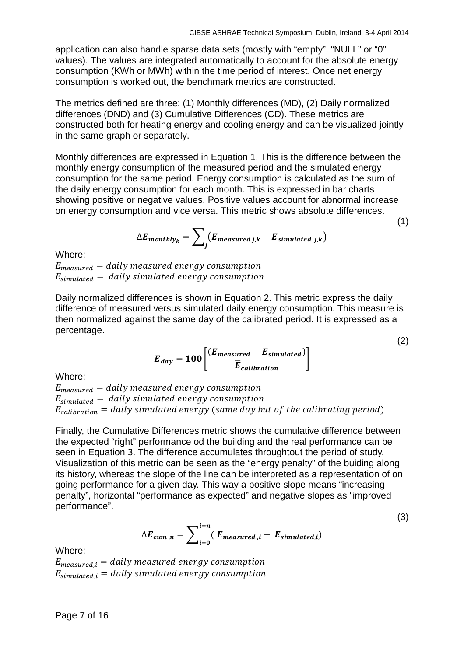(1)

(2)

(3)

application can also handle sparse data sets (mostly with "empty", "NULL" or "0" values). The values are integrated automatically to account for the absolute energy consumption (KWh or MWh) within the time period of interest. Once net energy consumption is worked out, the benchmark metrics are constructed.

The metrics defined are three: (1) Monthly differences (MD), (2) Daily normalized differences (DND) and (3) Cumulative Differences (CD). These metrics are constructed both for heating energy and cooling energy and can be visualized jointly in the same graph or separately.

Monthly differences are expressed in Equation 1. This is the difference between the monthly energy consumption of the measured period and the simulated energy consumption for the same period. Energy consumption is calculated as the sum of the daily energy consumption for each month. This is expressed in bar charts showing positive or negative values. Positive values account for abnormal increase on energy consumption and vice versa. This metric shows absolute differences.

$$
\Delta E_{\text{monthly}_k} = \sum_j (E_{\text{measured }j,k} - E_{\text{simulated }j,k})
$$

Where:

 $E_{measured} =$  daily measured energy consumption  $E_{simulated}$  = daily simulated energy consumption

Daily normalized differences is shown in Equation 2. This metric express the daily difference of measured versus simulated daily energy consumption. This measure is then normalized against the same day of the calibrated period. It is expressed as a percentage.

$$
E_{day} = 100 \left[ \frac{(E_{measured} - E_{simulated})}{\overline{E}_{calibration}} \right]
$$

Where:

 $E_{measured} = daily measured energy consumption$  $E_{simulated}$  = daily simulated energy consumption  $E_{\text{calibration}} =$  daily simulated energy (same day but of the calibrating period)

Finally, the Cumulative Differences metric shows the cumulative difference between the expected "right" performance od the building and the real performance can be seen in Equation 3. The difference accumulates throughtout the period of study. Visualization of this metric can be seen as the "energy penalty" of the buiding along its history, whereas the slope of the line can be interpreted as a representation of on going performance for a given day. This way a positive slope means "increasing penalty", horizontal "performance as expected" and negative slopes as "improved performance".

$$
\Delta E_{cum,n} = \sum_{i=0}^{i=n} (E_{measured,i} - E_{simulated,i})
$$

Where:

 $E_{measured,i} = daily measured energy consumption$  $E_{simulated,i} = daily\ simulated\ energy\ consumption$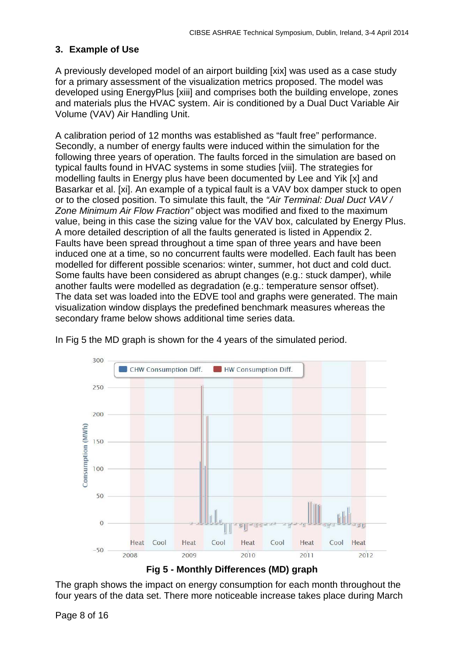### **3. Example of Use**

A previously developed model of an airport building [xix] was used as a case study for a primary assessment of the visualization metrics proposed. The model was developed using EnergyPlus [xiii] and comprises both the building envelope, zones and materials plus the HVAC system. Air is conditioned by a Dual Duct Variable Air Volume (VAV) Air Handling Unit.

A calibration period of 12 months was established as "fault free" performance. Secondly, a number of energy faults were induced within the simulation for the following three years of operation. The faults forced in the simulation are based on typical faults found in HVAC systems in some studies [viii]. The strategies for modelling faults in Energy plus have been documented by Lee and Yik [x] and Basarkar et al. [xi]. An example of a typical fault is a VAV box damper stuck to open or to the closed position. To simulate this fault, the *"Air Terminal: Dual Duct VAV / Zone Minimum Air Flow Fraction"* object was modified and fixed to the maximum value, being in this case the sizing value for the VAV box, calculated by Energy Plus. A more detailed description of all the faults generated is listed in [Appendix 2.](#page-16-0) Faults have been spread throughout a time span of three years and have been induced one at a time, so no concurrent faults were modelled. Each fault has been modelled for different possible scenarios: winter, summer, hot duct and cold duct. Some faults have been considered as abrupt changes (e.g.: stuck damper), while another faults were modelled as degradation (e.g.: temperature sensor offset). The data set was loaded into the EDVE tool and graphs were generated. The main visualization window displays the predefined benchmark measures whereas the secondary frame below shows additional time series data.

![](_page_8_Figure_4.jpeg)

In [Fig 5](#page-8-0) the MD graph is shown for the 4 years of the simulated period.

![](_page_8_Figure_6.jpeg)

<span id="page-8-0"></span>The graph shows the impact on energy consumption for each month throughout the four years of the data set. There more noticeable increase takes place during March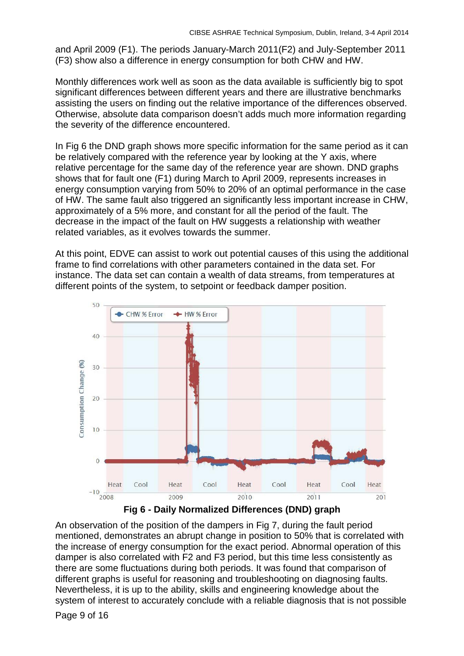and April 2009 (F1). The periods January-March 2011(F2) and July-September 2011 (F3) show also a difference in energy consumption for both CHW and HW.

Monthly differences work well as soon as the data available is sufficiently big to spot significant differences between different years and there are illustrative benchmarks assisting the users on finding out the relative importance of the differences observed. Otherwise, absolute data comparison doesn't adds much more information regarding the severity of the difference encountered.

In [Fig 6](#page-9-0) the DND graph shows more specific information for the same period as it can be relatively compared with the reference year by looking at the Y axis, where relative percentage for the same day of the reference year are shown. DND graphs shows that for fault one (F1) during March to April 2009, represents increases in energy consumption varying from 50% to 20% of an optimal performance in the case of HW. The same fault also triggered an significantly less important increase in CHW, approximately of a 5% more, and constant for all the period of the fault. The decrease in the impact of the fault on HW suggests a relationship with weather related variables, as it evolves towards the summer.

At this point, EDVE can assist to work out potential causes of this using the additional frame to find correlations with other parameters contained in the data set. For instance. The data set can contain a wealth of data streams, from temperatures at different points of the system, to setpoint or feedback damper position.

![](_page_9_Figure_5.jpeg)

![](_page_9_Figure_6.jpeg)

<span id="page-9-0"></span>An observation of the position of the dampers in [Fig 7,](#page-10-0) during the fault period mentioned, demonstrates an abrupt change in position to 50% that is correlated with the increase of energy consumption for the exact period. Abnormal operation of this damper is also correlated with F2 and F3 period, but this time less consistently as there are some fluctuations during both periods. It was found that comparison of different graphs is useful for reasoning and troubleshooting on diagnosing faults. Nevertheless, it is up to the ability, skills and engineering knowledge about the system of interest to accurately conclude with a reliable diagnosis that is not possible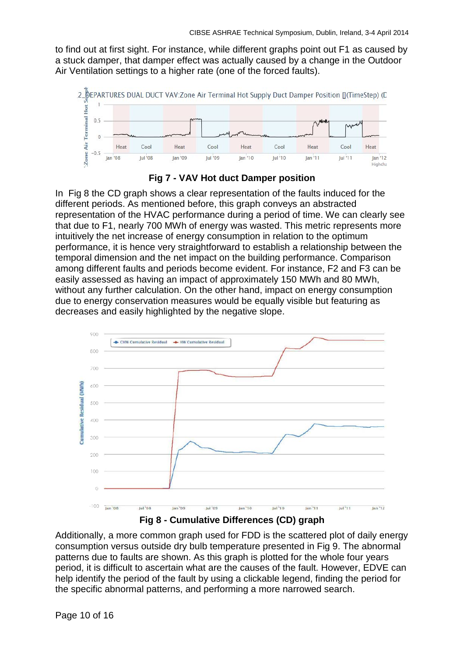to find out at first sight. For instance, while different graphs point out F1 as caused by a stuck damper, that damper effect was actually caused by a change in the Outdoor Air Ventilation settings to a higher rate (one of the forced faults).

![](_page_10_Figure_2.jpeg)

![](_page_10_Figure_3.jpeg)

<span id="page-10-0"></span>In [Fig 8](#page-10-1) the CD graph shows a clear representation of the faults induced for the different periods. As mentioned before, this graph conveys an abstracted representation of the HVAC performance during a period of time. We can clearly see that due to F1, nearly 700 MWh of energy was wasted. This metric represents more intuitively the net increase of energy consumption in relation to the optimum performance, it is hence very straightforward to establish a relationship between the temporal dimension and the net impact on the building performance. Comparison among different faults and periods become evident. For instance, F2 and F3 can be easily assessed as having an impact of approximately 150 MWh and 80 MWh, without any further calculation. On the other hand, impact on energy consumption due to energy conservation measures would be equally visible but featuring as decreases and easily highlighted by the negative slope.

![](_page_10_Figure_5.jpeg)

**Fig 8 - Cumulative Differences (CD) graph**

<span id="page-10-1"></span>Additionally, a more common graph used for FDD is the scattered plot of daily energy consumption versus outside dry bulb temperature presented in [Fig 9.](#page-11-0) The abnormal patterns due to faults are shown. As this graph is plotted for the whole four years period, it is difficult to ascertain what are the causes of the fault. However, EDVE can help identify the period of the fault by using a clickable legend, finding the period for the specific abnormal patterns, and performing a more narrowed search.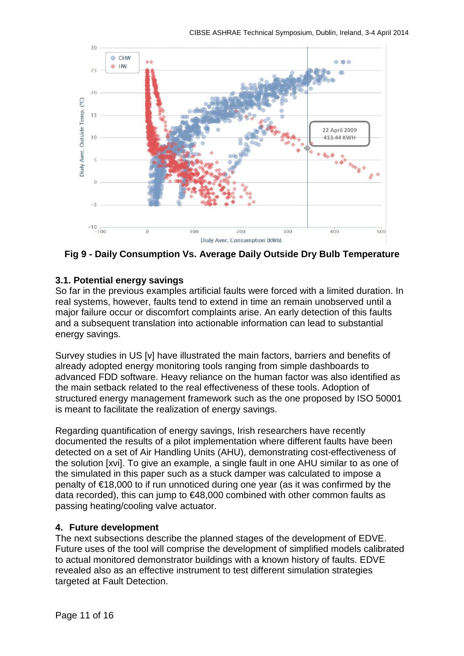![](_page_11_Figure_1.jpeg)

<span id="page-11-0"></span>**Fig 9 - Daily Consumption Vs. Average Daily Outside Dry Bulb Temperature**

### **3.1. Potential energy savings**

So far in the previous examples artificial faults were forced with a limited duration. In real systems, however, faults tend to extend in time an remain unobserved until a major failure occur or discomfort complaints arise. An early detection of this faults and a subsequent translation into actionable information can lead to substantial energy savings.

Survey studies in US [v] have illustrated the main factors, barriers and benefits of already adopted energy monitoring tools ranging from simple dashboards to advanced FDD software. Heavy reliance on the human factor was also identified as the main setback related to the real effectiveness of these tools. Adoption of structured energy management framework such as the one proposed by ISO 50001 is meant to facilitate the realization of energy savings.

Regarding quantification of energy savings, Irish researchers have recently documented the results of a pilot implementation where different faults have been detected on a set of Air Handling Units (AHU), demonstrating cost-effectiveness of the solution [xvi]. To give an example, a single fault in one AHU similar to as one of the simulated in this paper such as a stuck damper was calculated to impose a penalty of €18,000 to if run unnoticed during one year (as it was confirmed by the data recorded), this can jump to €48,000 combined with other common faults as passing heating/cooling valve actuator.

### **4. Future development**

The next subsections describe the planned stages of the development of EDVE. Future uses of the tool will comprise the development of simplified models calibrated to actual monitored demonstrator buildings with a known history of faults. EDVE revealed also as an effective instrument to test different simulation strategies targeted at Fault Detection.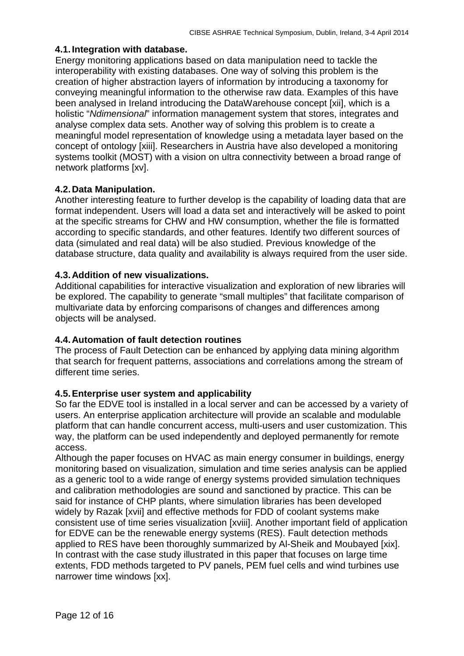### **4.1.Integration with database.**

Energy monitoring applications based on data manipulation need to tackle the interoperability with existing databases. One way of solving this problem is the creation of higher abstraction layers of information by introducing a taxonomy for conveying meaningful information to the otherwise raw data. Examples of this have been analysed in Ireland introducing the DataWarehouse concept [xii], which is a holistic "*Ndimensional*" information management system that stores, integrates and analyse complex data sets. Another way of solving this problem is to create a meaningful model representation of knowledge using a metadata layer based on the concept of ontology [xiii]. Researchers in Austria have also developed a monitoring systems toolkit (MOST) with a vision on ultra connectivity between a broad range of network platforms [xv].

### **4.2.Data Manipulation.**

Another interesting feature to further develop is the capability of loading data that are format independent. Users will load a data set and interactively will be asked to point at the specific streams for CHW and HW consumption, whether the file is formatted according to specific standards, and other features. Identify two different sources of data (simulated and real data) will be also studied. Previous knowledge of the database structure, data quality and availability is always required from the user side.

### **4.3.Addition of new visualizations.**

Additional capabilities for interactive visualization and exploration of new libraries will be explored. The capability to generate "small multiples" that facilitate comparison of multivariate data by enforcing comparisons of changes and differences among objects will be analysed.

### **4.4.Automation of fault detection routines**

The process of Fault Detection can be enhanced by applying data mining algorithm that search for frequent patterns, associations and correlations among the stream of different time series.

### **4.5.Enterprise user system and applicability**

So far the EDVE tool is installed in a local server and can be accessed by a variety of users. An enterprise application architecture will provide an scalable and modulable platform that can handle concurrent access, multi-users and user customization. This way, the platform can be used independently and deployed permanently for remote access.

Although the paper focuses on HVAC as main energy consumer in buildings, energy monitoring based on visualization, simulation and time series analysis can be applied as a generic tool to a wide range of energy systems provided simulation techniques and calibration methodologies are sound and sanctioned by practice. This can be said for instance of CHP plants, where simulation libraries has been developed widely by Razak [xvii] and effective methods for FDD of coolant systems make consistent use of time series visualization [xviii]. Another important field of application for EDVE can be the renewable energy systems (RES). Fault detection methods applied to RES have been thoroughly summarized by Al-Sheik and Moubayed [xix]. In contrast with the case study illustrated in this paper that focuses on large time extents, FDD methods targeted to PV panels, PEM fuel cells and wind turbines use narrower time windows [xx].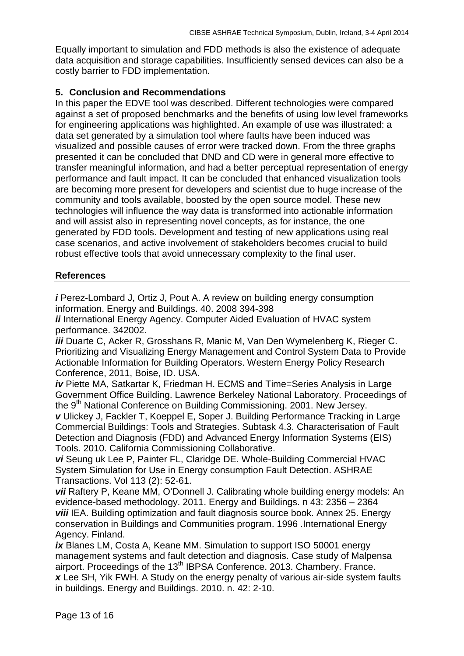Equally important to simulation and FDD methods is also the existence of adequate data acquisition and storage capabilities. Insufficiently sensed devices can also be a costly barrier to FDD implementation.

#### **5. Conclusion and Recommendations**

In this paper the EDVE tool was described. Different technologies were compared against a set of proposed benchmarks and the benefits of using low level frameworks for engineering applications was highlighted. An example of use was illustrated: a data set generated by a simulation tool where faults have been induced was visualized and possible causes of error were tracked down. From the three graphs presented it can be concluded that DND and CD were in general more effective to transfer meaningful information, and had a better perceptual representation of energy performance and fault impact. It can be concluded that enhanced visualization tools are becoming more present for developers and scientist due to huge increase of the community and tools available, boosted by the open source model. These new technologies will influence the way data is transformed into actionable information and will assist also in representing novel concepts, as for instance, the one generated by FDD tools. Development and testing of new applications using real case scenarios, and active involvement of stakeholders becomes crucial to build robust effective tools that avoid unnecessary complexity to the final user.

### **References**

*i* Perez-Lombard J, Ortiz J, Pout A. A review on building energy consumption information. Energy and Buildings. 40. 2008 394-398

*ii* International Energy Agency. Computer Aided Evaluation of HVAC system performance. 342002.

*iii* Duarte C, Acker R, Grosshans R, Manic M, Van Den Wymelenberg K, Rieger C. Prioritizing and Visualizing Energy Management and Control System Data to Provide Actionable Information for Building Operators. Western Energy Policy Research Conference, 2011, Boise, ID. USA.

*iv* Piette MA, Satkartar K, Friedman H. ECMS and Time=Series Analysis in Large Government Office Building. Lawrence Berkeley National Laboratory. Proceedings of the 9<sup>th</sup> National Conference on Building Commissioning. 2001. New Jersey.

*v* Ulickey J, Fackler T, Koeppel E, Soper J. Building Performance Tracking in Large Commercial Buildings: Tools and Strategies. Subtask 4.3. Characterisation of Fault Detection and Diagnosis (FDD) and Advanced Energy Information Systems (EIS) Tools. 2010. California Commissioning Collaborative.

*vi* Seung uk Lee P, Painter FL, Claridge DE. Whole-Building Commercial HVAC System Simulation for Use in Energy consumption Fault Detection. ASHRAE Transactions. Vol 113 (2): 52-61.

*vii* Raftery P, Keane MM, O'Donnell J. Calibrating whole building energy models: An evidence-based methodology. 2011. Energy and Buildings. n 43: 2356 – 2364 *viii* IEA. Building optimization and fault diagnosis source book. Annex 25. Energy conservation in Buildings and Communities program. 1996 .International Energy Agency. Finland.

ix Blanes LM, Costa A, Keane MM. Simulation to support ISO 50001 energy management systems and fault detection and diagnosis. Case study of Malpensa airport. Proceedings of the 13<sup>th</sup> IBPSA Conference. 2013. Chambery. France. *x* Lee SH, Yik FWH. A Study on the energy penalty of various air-side system faults in buildings. Energy and Buildings. 2010. n. 42: 2-10.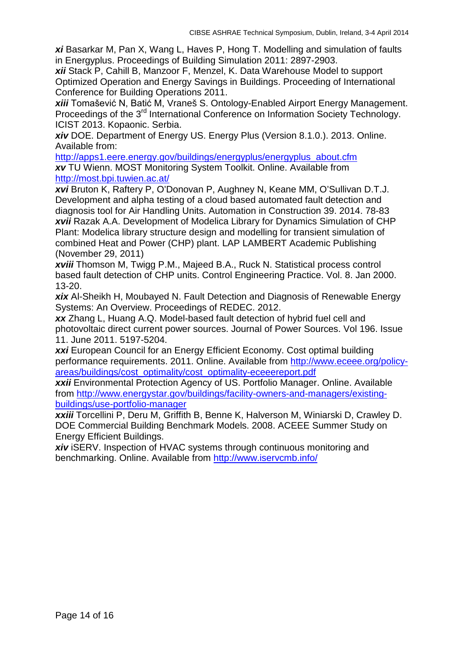*xi* Basarkar M, Pan X, Wang L, Haves P, Hong T. Modelling and simulation of faults in Energyplus. Proceedings of Building Simulation 2011: 2897-2903.

*xii* Stack P, Cahill B, Manzoor F, Menzel, K. Data Warehouse Model to support Optimized Operation and Energy Savings in Buildings. Proceeding of International Conference for Building Operations 2011.

*xiii* Tomašević N, Batić M, Vraneš S. Ontology-Enabled Airport Energy Management. Proceedings of the 3<sup>rd</sup> International Conference on Information Society Technology. ICIST 2013. Kopaonic. Serbia.

*xiv* DOE. Department of Energy US. Energy Plus (Version 8.1.0.). 2013. Online. Available from:

[http://apps1.eere.energy.gov/buildings/energyplus/energyplus\\_about.cfm](http://apps1.eere.energy.gov/buildings/energyplus/energyplus_about.cfm) *xv* TU Wienn. MOST Monitoring System Toolkit. Online. Available from <http://most.bpi.tuwien.ac.at/>

*xvi* Bruton K, Raftery P, O'Donovan P, Aughney N, Keane MM, O'Sullivan D.T.J. Development and alpha testing of a cloud based automated fault detection and diagnosis tool for Air Handling Units. Automation in Construction 39. 2014. 78-83 *xvii* Razak A.A. Development of Modelica Library for Dynamics Simulation of CHP Plant: Modelica library structure design and modelling for transient simulation of combined Heat and Power (CHP) plant. LAP LAMBERT Academic Publishing (November 29, 2011)

*xviii* Thomson M, Twigg P.M., Majeed B.A., Ruck N. Statistical process control based fault detection of CHP units. Control Engineering Practice. Vol. 8. Jan 2000. 13-20.

*xix* Al-Sheikh H, Moubayed N. Fault Detection and Diagnosis of Renewable Energy Systems: An Overview. Proceedings of REDEC. 2012.

*xx* Zhang L, Huang A.Q. Model-based fault detection of hybrid fuel cell and photovoltaic direct current power sources. Journal of Power Sources. Vol 196. Issue 11. June 2011. 5197-5204.

**xxi** European Council for an Energy Efficient Economy. Cost optimal building performance requirements. 2011. Online. Available from [http://www.eceee.org/policy](http://www.eceee.org/policy-areas/buildings/cost_optimality/cost_optimality-eceeereport.pdf)[areas/buildings/cost\\_optimality/cost\\_optimality-eceeereport.pdf](http://www.eceee.org/policy-areas/buildings/cost_optimality/cost_optimality-eceeereport.pdf)

*xxii* Environmental Protection Agency of US. Portfolio Manager. Online. Available from [http://www.energystar.gov/buildings/facility-owners-and-managers/existing](http://www.energystar.gov/buildings/facility-owners-and-managers/existing-buildings/use-portfolio-manager)[buildings/use-portfolio-manager](http://www.energystar.gov/buildings/facility-owners-and-managers/existing-buildings/use-portfolio-manager)

*xxiii* Torcellini P, Deru M, Griffith B, Benne K, Halverson M, Winiarski D, Crawley D. DOE Commercial Building Benchmark Models. 2008. ACEEE Summer Study on Energy Efficient Buildings.

**xiv** iSERV. Inspection of HVAC systems through continuous monitoring and benchmarking. Online. Available from<http://www.iservcmb.info/>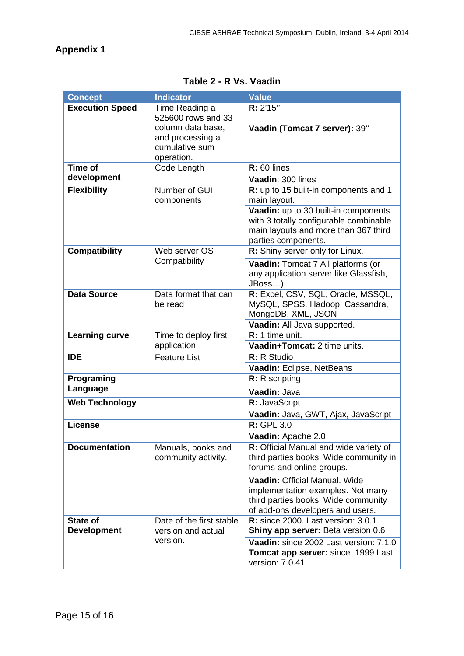<span id="page-15-0"></span>

| <b>Concept</b>         | <b>Indicator</b>             | <b>Value</b>                                                 |
|------------------------|------------------------------|--------------------------------------------------------------|
| <b>Execution Speed</b> | Time Reading a               | R: 2'15"                                                     |
|                        | 525600 rows and 33           |                                                              |
|                        | column data base,            | Vaadin (Tomcat 7 server): 39"                                |
|                        | and processing a             |                                                              |
|                        | cumulative sum<br>operation. |                                                              |
| Time of                | Code Length                  | $R: 60$ lines                                                |
| development            |                              | Vaadin: 300 lines                                            |
| <b>Flexibility</b>     | Number of GUI                | R: up to 15 built-in components and 1                        |
|                        | components                   | main layout.                                                 |
|                        |                              | Vaadin: up to 30 built-in components                         |
|                        |                              | with 3 totally configurable combinable                       |
|                        |                              | main layouts and more than 367 third<br>parties components.  |
| <b>Compatibility</b>   | Web server OS                | R: Shiny server only for Linux.                              |
|                        | Compatibility                | Vaadin: Tomcat 7 All platforms (or                           |
|                        |                              | any application server like Glassfish,                       |
|                        |                              | JBoss)                                                       |
| <b>Data Source</b>     | Data format that can         | R: Excel, CSV, SQL, Oracle, MSSQL,                           |
|                        | be read                      | MySQL, SPSS, Hadoop, Cassandra,                              |
|                        |                              | MongoDB, XML, JSON                                           |
|                        |                              | Vaadin: All Java supported.                                  |
| <b>Learning curve</b>  | Time to deploy first         | R: 1 time unit.                                              |
|                        | application                  | Vaadin+Tomcat: 2 time units.                                 |
| <b>IDE</b>             | <b>Feature List</b>          | R: R Studio<br>Vaadin: Eclipse, NetBeans                     |
| Programing             |                              | R: R scripting                                               |
| Language               |                              |                                                              |
|                        |                              | Vaadin: Java                                                 |
| <b>Web Technology</b>  |                              | R: JavaScript                                                |
| <b>License</b>         |                              | Vaadin: Java, GWT, Ajax, JavaScript<br><b>R: GPL 3.0</b>     |
|                        |                              |                                                              |
| <b>Documentation</b>   | Manuals, books and           | Vaadin: Apache 2.0<br>R: Official Manual and wide variety of |
|                        | community activity.          | third parties books. Wide community in                       |
|                        |                              | forums and online groups.                                    |
|                        |                              | Vaadin: Official Manual. Wide                                |
|                        |                              | implementation examples. Not many                            |
|                        |                              | third parties books. Wide community                          |
|                        |                              | of add-ons developers and users.                             |
| <b>State of</b>        | Date of the first stable     | <b>R:</b> since 2000. Last version: 3.0.1                    |
| <b>Development</b>     | version and actual           | Shiny app server: Beta version 0.6                           |
|                        | version.                     | Vaadin: since 2002 Last version: 7.1.0                       |
|                        |                              | Tomcat app server: since 1999 Last<br>version: 7.0.41        |

**Table 2 - R Vs. Vaadin**